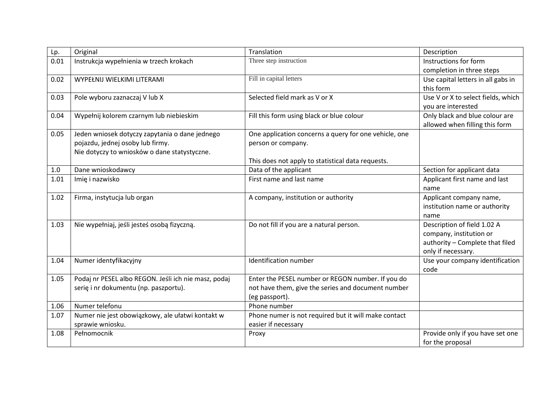| Lp.  | Original                                             | Translation                                           | Description                                            |
|------|------------------------------------------------------|-------------------------------------------------------|--------------------------------------------------------|
| 0.01 | Instrukcja wypełnienia w trzech krokach              | Three step instruction                                | Instructions for form                                  |
|      |                                                      |                                                       | completion in three steps                              |
| 0.02 | WYPEŁNIJ WIELKIMI LITERAMI                           | Fill in capital letters                               | Use capital letters in all gabs in                     |
|      |                                                      |                                                       | this form                                              |
| 0.03 | Pole wyboru zaznaczaj V lub X                        | Selected field mark as V or X                         | Use V or X to select fields, which                     |
|      |                                                      |                                                       | you are interested                                     |
| 0.04 | Wypełnij kolorem czarnym lub niebieskim              | Fill this form using black or blue colour             | Only black and blue colour are                         |
|      |                                                      |                                                       | allowed when filling this form                         |
| 0.05 | Jeden wniosek dotyczy zapytania o dane jednego       | One application concerns a query for one vehicle, one |                                                        |
|      | pojazdu, jednej osoby lub firmy.                     | person or company.                                    |                                                        |
|      | Nie dotyczy to wniosków o dane statystyczne.         |                                                       |                                                        |
|      |                                                      | This does not apply to statistical data requests.     |                                                        |
| 1.0  | Dane wnioskodawcy                                    | Data of the applicant                                 | Section for applicant data                             |
| 1.01 | Imię i nazwisko                                      | First name and last name                              | Applicant first name and last                          |
|      |                                                      |                                                       | name                                                   |
| 1.02 | Firma, instytucja lub organ                          | A company, institution or authority                   | Applicant company name,                                |
|      |                                                      |                                                       | institution name or authority                          |
|      |                                                      |                                                       | name                                                   |
| 1.03 | Nie wypełniaj, jeśli jesteś osobą fizyczną.          | Do not fill if you are a natural person.              | Description of field 1.02 A<br>company, institution or |
|      |                                                      |                                                       | authority - Complete that filed                        |
|      |                                                      |                                                       | only if necessary.                                     |
| 1.04 | Numer identyfikacyjny                                | Identification number                                 | Use your company identification                        |
|      |                                                      |                                                       | code                                                   |
| 1.05 | Podaj nr PESEL albo REGON. Jeśli ich nie masz, podaj | Enter the PESEL number or REGON number. If you do     |                                                        |
|      | serię i nr dokumentu (np. paszportu).                | not have them, give the series and document number    |                                                        |
|      |                                                      | (eg passport).                                        |                                                        |
| 1.06 | Numer telefonu                                       | Phone number                                          |                                                        |
| 1.07 | Numer nie jest obowiązkowy, ale ułatwi kontakt w     | Phone numer is not required but it will make contact  |                                                        |
|      | sprawie wniosku.                                     | easier if necessary                                   |                                                        |
| 1.08 | Pełnomocnik                                          | Proxy                                                 | Provide only if you have set one                       |
|      |                                                      |                                                       | for the proposal                                       |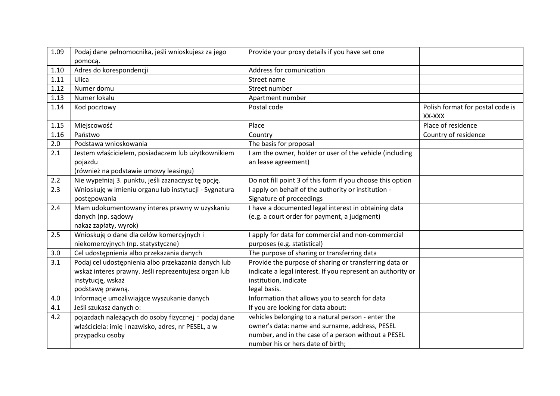| 1.09 | Podaj dane pełnomocnika, jeśli wnioskujesz za jego    | Provide your proxy details if you have set one              |                                            |
|------|-------------------------------------------------------|-------------------------------------------------------------|--------------------------------------------|
|      | pomocą.                                               |                                                             |                                            |
| 1.10 | Adres do korespondencji                               | Address for comunication                                    |                                            |
| 1.11 | Ulica                                                 | Street name                                                 |                                            |
| 1.12 | Numer domu                                            | Street number                                               |                                            |
| 1.13 | Numer lokalu                                          | Apartment number                                            |                                            |
| 1.14 | Kod pocztowy                                          | Postal code                                                 | Polish format for postal code is<br>XX-XXX |
| 1.15 | Miejscowość                                           | Place                                                       | Place of residence                         |
| 1.16 | Państwo                                               | Country                                                     | Country of residence                       |
| 2.0  | Podstawa wnioskowania                                 | The basis for proposal                                      |                                            |
| 2.1  | Jestem właścicielem, posiadaczem lub użytkownikiem    | I am the owner, holder or user of the vehicle (including    |                                            |
|      | pojazdu                                               | an lease agreement)                                         |                                            |
|      | (również na podstawie umowy leasingu)                 |                                                             |                                            |
| 2.2  | Nie wypełniaj 3. punktu, jeśli zaznaczysz tę opcję.   | Do not fill point 3 of this form if you choose this option  |                                            |
| 2.3  | Wnioskuję w imieniu organu lub instytucji - Sygnatura | I apply on behalf of the authority or institution -         |                                            |
|      | postępowania                                          | Signature of proceedings                                    |                                            |
| 2.4  | Mam udokumentowany interes prawny w uzyskaniu         | I have a documented legal interest in obtaining data        |                                            |
|      | danych (np. sądowy                                    | (e.g. a court order for payment, a judgment)                |                                            |
|      | nakaz zapłaty, wyrok)                                 |                                                             |                                            |
| 2.5  | Wnioskuję o dane dla celów komercyjnych i             | I apply for data for commercial and non-commercial          |                                            |
|      | niekomercyjnych (np. statystyczne)                    | purposes (e.g. statistical)                                 |                                            |
| 3.0  | Cel udostępnienia albo przekazania danych             | The purpose of sharing or transferring data                 |                                            |
| 3.1  | Podaj cel udostępnienia albo przekazania danych lub   | Provide the purpose of sharing or transferring data or      |                                            |
|      | wskaż interes prawny. Jeśli reprezentujesz organ lub  | indicate a legal interest. If you represent an authority or |                                            |
|      | instytucję, wskaż                                     | institution, indicate                                       |                                            |
|      | podstawę prawną.                                      | legal basis.                                                |                                            |
| 4.0  | Informacje umożliwiające wyszukanie danych            | Information that allows you to search for data              |                                            |
| 4.1  | Jeśli szukasz danych o:                               | If you are looking for data about:                          |                                            |
| 4.2  | pojazdach należących do osoby fizycznej - podaj dane  | vehicles belonging to a natural person - enter the          |                                            |
|      | właściciela: imię i nazwisko, adres, nr PESEL, a w    | owner's data: name and surname, address, PESEL              |                                            |
|      | przypadku osoby                                       | number, and in the case of a person without a PESEL         |                                            |
|      |                                                       | number his or hers date of birth;                           |                                            |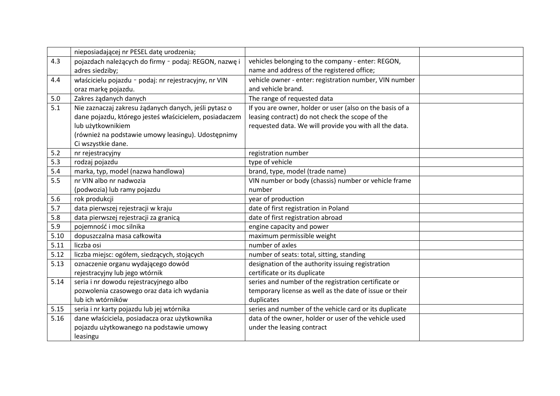|      | nieposiadającej nr PESEL datę urodzenia;               |                                                          |  |
|------|--------------------------------------------------------|----------------------------------------------------------|--|
| 4.3  | pojazdach należących do firmy - podaj: REGON, nazwę i  | vehicles belonging to the company - enter: REGON,        |  |
|      | adres siedziby;                                        | name and address of the registered office;               |  |
| 4.4  | właścicielu pojazdu - podaj: nr rejestracyjny, nr VIN  | vehicle owner - enter: registration number, VIN number   |  |
|      | oraz markę pojazdu.                                    | and vehicle brand.                                       |  |
| 5.0  | Zakres żądanych danych                                 | The range of requested data                              |  |
| 5.1  | Nie zaznaczaj zakresu żądanych danych, jeśli pytasz o  | If you are owner, holder or user (also on the basis of a |  |
|      | dane pojazdu, którego jesteś właścicielem, posiadaczem | leasing contract) do not check the scope of the          |  |
|      | lub użytkownikiem                                      | requested data. We will provide you with all the data.   |  |
|      | (również na podstawie umowy leasingu). Udostępnimy     |                                                          |  |
|      | Ci wszystkie dane.                                     |                                                          |  |
| 5.2  | nr rejestracyjny                                       | registration number                                      |  |
| 5.3  | rodzaj pojazdu                                         | type of vehicle                                          |  |
| 5.4  | marka, typ, model (nazwa handlowa)                     | brand, type, model (trade name)                          |  |
| 5.5  | nr VIN albo nr nadwozia                                | VIN number or body (chassis) number or vehicle frame     |  |
|      | (podwozia) lub ramy pojazdu                            | number                                                   |  |
| 5.6  | rok produkcji                                          | year of production                                       |  |
| 5.7  | data pierwszej rejestracji w kraju                     | date of first registration in Poland                     |  |
| 5.8  | data pierwszej rejestracji za granicą                  | date of first registration abroad                        |  |
| 5.9  | pojemność i moc silnika                                | engine capacity and power                                |  |
| 5.10 | dopuszczalna masa całkowita                            | maximum permissible weight                               |  |
| 5.11 | liczba osi                                             | number of axles                                          |  |
| 5.12 | liczba miejsc: ogółem, siedzących, stojących           | number of seats: total, sitting, standing                |  |
| 5.13 | oznaczenie organu wydającego dowód                     | designation of the authority issuing registration        |  |
|      | rejestracyjny lub jego wtórnik                         | certificate or its duplicate                             |  |
| 5.14 | seria i nr dowodu rejestracyjnego albo                 | series and number of the registration certificate or     |  |
|      | pozwolenia czasowego oraz data ich wydania             | temporary license as well as the date of issue or their  |  |
|      | lub ich wtórników                                      | duplicates                                               |  |
| 5.15 | seria i nr karty pojazdu lub jej wtórnika              | series and number of the vehicle card or its duplicate   |  |
| 5.16 | dane właściciela, posiadacza oraz użytkownika          | data of the owner, holder or user of the vehicle used    |  |
|      | pojazdu użytkowanego na podstawie umowy                | under the leasing contract                               |  |
|      | leasingu                                               |                                                          |  |